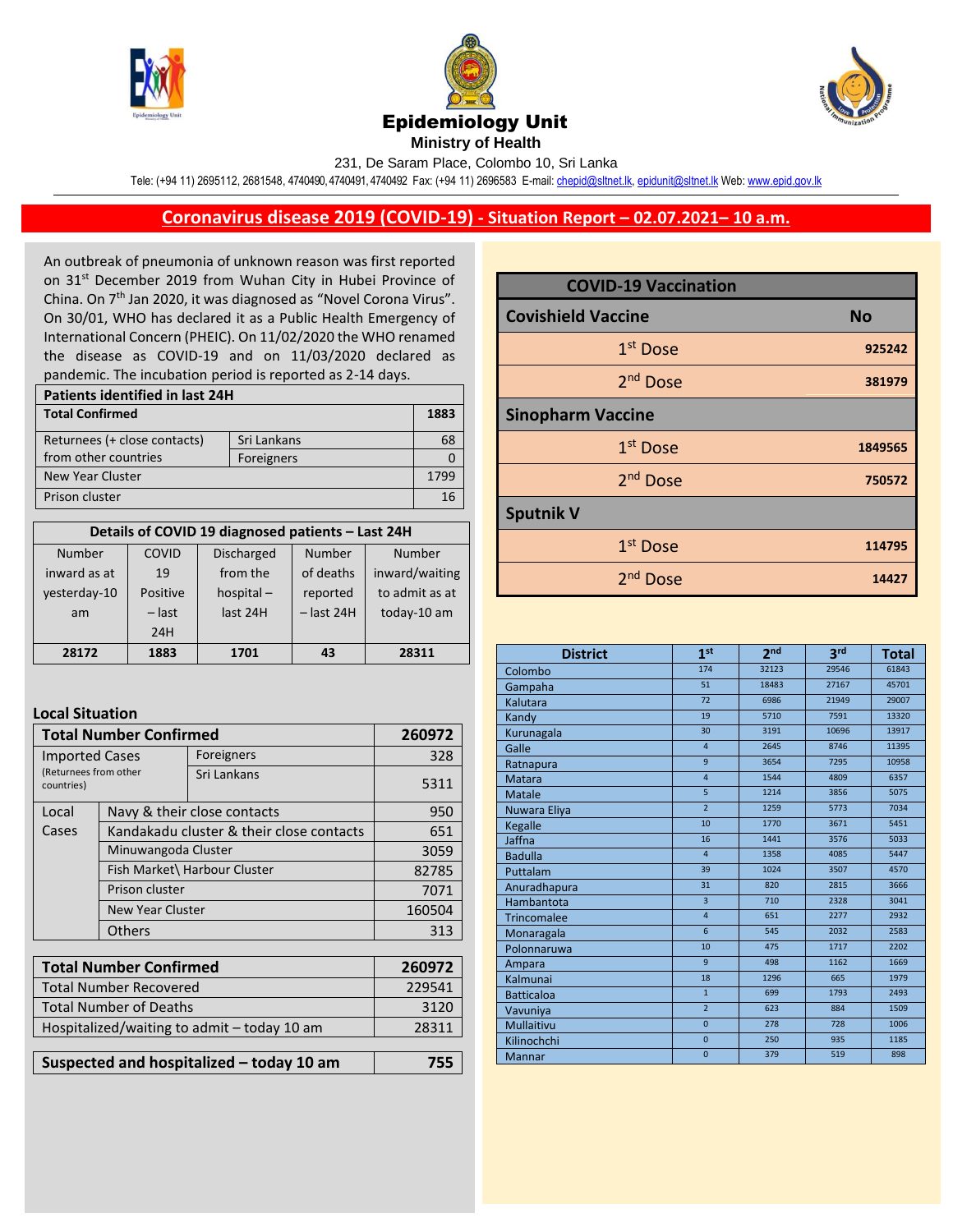





**Ministry of Health** 

231, De Saram Place, Colombo 10, Sri Lanka

Tele: (+94 11) 2695112, 2681548, 4740490, 4740491, 4740492 Fax: (+94 11) 2696583 E-mail[: chepid@sltnet.lk,](mailto:chepi@sltnet.lk) [epidunit@sltnet.lk](mailto:epidunit@sltnet.lk) Web[: www.epid.gov.lk](http://www.epid.gov.lk/)

## **Coronavirus disease 2019 (COVID-19) - Situation Report – 02.07.2021– 10 a.m.**

An outbreak of pneumonia of unknown reason was first reported on 31<sup>st</sup> December 2019 from Wuhan City in Hubei Province of China. On 7<sup>th</sup> Jan 2020, it was diagnosed as "Novel Corona Virus". On 30/01, WHO has declared it as a Public Health Emergency of International Concern (PHEIC). On 11/02/2020 the WHO renamed the disease as COVID-19 and on 11/03/2020 declared as pandemic. The incubation period is reported as 2-14 days.

| Patients identified in last 24H             |  |      |  |
|---------------------------------------------|--|------|--|
| <b>Total Confirmed</b>                      |  | 1883 |  |
| Returnees (+ close contacts)<br>Sri Lankans |  |      |  |
| from other countries<br>Foreigners          |  |      |  |
| New Year Cluster                            |  |      |  |
| Prison cluster                              |  |      |  |

| Details of COVID 19 diagnosed patients - Last 24H |          |                   |              |                |  |
|---------------------------------------------------|----------|-------------------|--------------|----------------|--|
| <b>Number</b>                                     | COVID    | <b>Discharged</b> | Number       | Number         |  |
| inward as at                                      | 19       | from the          | of deaths    | inward/waiting |  |
| yesterday-10                                      | Positive | hospital $-$      | reported     | to admit as at |  |
| am                                                | $-$ last | last 24H          | $-$ last 24H | today-10 am    |  |
|                                                   | 24H      |                   |              |                |  |
| 28172                                             | 1883     | 1701              | 43           | 28311          |  |

## **Local Situation**

| <b>Total Number Confirmed</b>                                |                                          |             | 260972 |
|--------------------------------------------------------------|------------------------------------------|-------------|--------|
| <b>Imported Cases</b><br>(Returnees from other<br>countries) |                                          | Foreigners  | 328    |
|                                                              |                                          | Sri Lankans | 5311   |
| Local                                                        | Navy & their close contacts              | 950         |        |
| Cases                                                        | Kandakadu cluster & their close contacts | 651         |        |
|                                                              | Minuwangoda Cluster                      |             | 3059   |
|                                                              | Fish Market\ Harbour Cluster             |             | 82785  |
|                                                              | Prison cluster                           |             | 7071   |
|                                                              | <b>New Year Cluster</b>                  |             | 160504 |
|                                                              | <b>Others</b>                            |             | 313    |
|                                                              |                                          |             |        |

| <b>Total Number Confirmed</b>               | 260972 |
|---------------------------------------------|--------|
| <b>Total Number Recovered</b>               | 229541 |
| <b>Total Number of Deaths</b>               | 3120   |
| Hospitalized/waiting to admit - today 10 am | 28311  |
|                                             |        |
| Suspected and hospitalized - today 10 am    | 755    |

| Suspected and hospitalized - today 10 am | 755 |
|------------------------------------------|-----|
|                                          |     |

| <b>COVID-19 Vaccination</b> |           |  |  |  |
|-----------------------------|-----------|--|--|--|
| <b>Covishield Vaccine</b>   | <b>No</b> |  |  |  |
| 1 <sup>st</sup> Dose        | 925242    |  |  |  |
| 2 <sup>nd</sup> Dose        | 381979    |  |  |  |
| <b>Sinopharm Vaccine</b>    |           |  |  |  |
| 1 <sup>st</sup> Dose        | 1849565   |  |  |  |
| 2 <sup>nd</sup> Dose        | 750572    |  |  |  |
| <b>Sputnik V</b>            |           |  |  |  |
| 1 <sup>st</sup> Dose        | 114795    |  |  |  |
| 2 <sup>nd</sup> Dose        | 14427     |  |  |  |

| <b>District</b>    | 1st            | 2 <sub>nd</sub> | 3 <sup>rd</sup> | <b>Total</b> |
|--------------------|----------------|-----------------|-----------------|--------------|
| Colombo            | 174            | 32123           | 29546           | 61843        |
| Gampaha            | 51             | 18483           | 27167           | 45701        |
| Kalutara           | 72             | 6986            | 21949           | 29007        |
| Kandy              | 19             | 5710            | 7591            | 13320        |
| Kurunagala         | 30             | 3191            | 10696           | 13917        |
| Galle              | $\overline{4}$ | 2645            | 8746            | 11395        |
| Ratnapura          | $\overline{9}$ | 3654            | 7295            | 10958        |
| <b>Matara</b>      | $\overline{4}$ | 1544            | 4809            | 6357         |
| <b>Matale</b>      | 5              | 1214            | 3856            | 5075         |
| Nuwara Eliya       | $\overline{2}$ | 1259            | 5773            | 7034         |
| Kegalle            | 10             | 1770            | 3671            | 5451         |
| Jaffna             | 16             | 1441            | 3576            | 5033         |
| <b>Badulla</b>     | $\overline{4}$ | 1358            | 4085            | 5447         |
| Puttalam           | 39             | 1024            | 3507            | 4570         |
| Anuradhapura       | 31             | 820             | 2815            | 3666         |
| Hambantota         | $\overline{3}$ | 710             | 2328            | 3041         |
| <b>Trincomalee</b> | $\overline{4}$ | 651             | 2277            | 2932         |
| Monaragala         | 6              | 545             | 2032            | 2583         |
| Polonnaruwa        | 10             | 475             | 1717            | 2202         |
| Ampara             | 9              | 498             | 1162            | 1669         |
| Kalmunai           | 18             | 1296            | 665             | 1979         |
| <b>Batticaloa</b>  | $\mathbf{1}$   | 699             | 1793            | 2493         |
| Vavuniya           | $\overline{2}$ | 623             | 884             | 1509         |
| <b>Mullaitivu</b>  | $\Omega$       | 278             | 728             | 1006         |
| Kilinochchi        | $\overline{0}$ | 250             | 935             | 1185         |
| <b>Mannar</b>      | $\overline{0}$ | 379             | 519             | 898          |